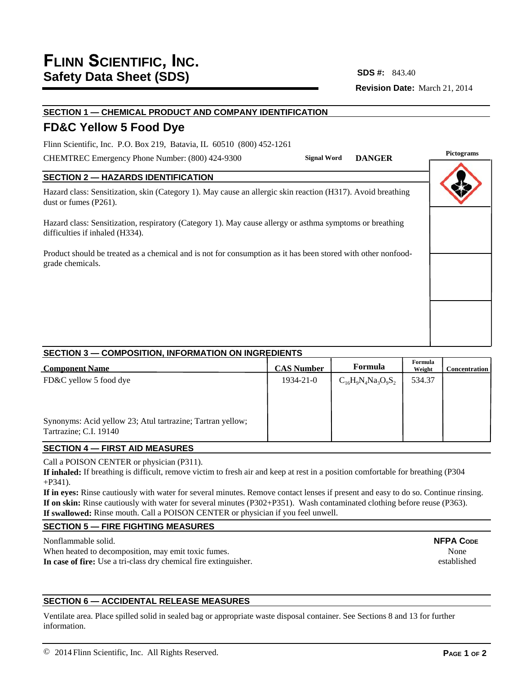**Revision Date:** March 21, 2014 **SDS #:**

# **SECTION 1 — CHEMICAL PRODUCT AND COMPANY IDENTIFICATION**

## **FD&C Yellow 5 Food Dye**

Flinn Scientific, Inc. P.O. Box 219, Batavia, IL 60510 (800) 452-1261

CHEMTREC Emergency Phone Number: (800) 424-9300

## **SECTION 2 — HAZARDS IDENTIFICATION**

Hazard class: Sensitization, skin (Category 1). May cause an allergic skin reaction (H317). Avoid breathing dust or fumes (P261).

Hazard class: Sensitization, respiratory (Category 1). May cause allergy or asthma symptoms or breathing difficulties if inhaled (H334).

Product should be treated as a chemical and is not for consumption as it has been stored with other nonfoodgrade chemicals.

## **SECTION 3 — COMPOSITION, INFORMATION ON INGREDIENTS**

| <b>Component Name</b>                                      | <b>CAS Number</b> | Formula                  | Formula<br>Weight | <b>Concentration</b> |
|------------------------------------------------------------|-------------------|--------------------------|-------------------|----------------------|
| FD&C yellow 5 food dye                                     | 1934-21-0         | $C_{16}H_9N_4Na_3O_9S_2$ | 534.37            |                      |
|                                                            |                   |                          |                   |                      |
|                                                            |                   |                          |                   |                      |
| Synonyms: Acid yellow 23; Atul tartrazine; Tartran yellow; |                   |                          |                   |                      |
| Tartrazine; C.I. 19140                                     |                   |                          |                   |                      |

## **SECTION 4 — FIRST AID MEASURES**

Call a POISON CENTER or physician (P311).

**If inhaled:** If breathing is difficult, remove victim to fresh air and keep at rest in a position comfortable for breathing (P304 +P341).

**If in eyes:** Rinse cautiously with water for several minutes. Remove contact lenses if present and easy to do so. Continue rinsing. **If on skin:** Rinse cautiously with water for several minutes (P302+P351). Wash contaminated clothing before reuse (P363). **If swallowed:** Rinse mouth. Call a POISON CENTER or physician if you feel unwell.

## **SECTION 5 — FIRE FIGHTING MEASURES**

Nonflammable solid.

When heated to decomposition, may emit toxic fumes. **In case of fire:** Use a tri-class dry chemical fire extinguisher.

## **SECTION 6 — ACCIDENTAL RELEASE MEASURES**

Ventilate area. Place spilled solid in sealed bag or appropriate waste disposal container. See Sections 8 and 13 for further information.

**NFPA CODE** None established

## **Pictograms Signal Word DANGER**